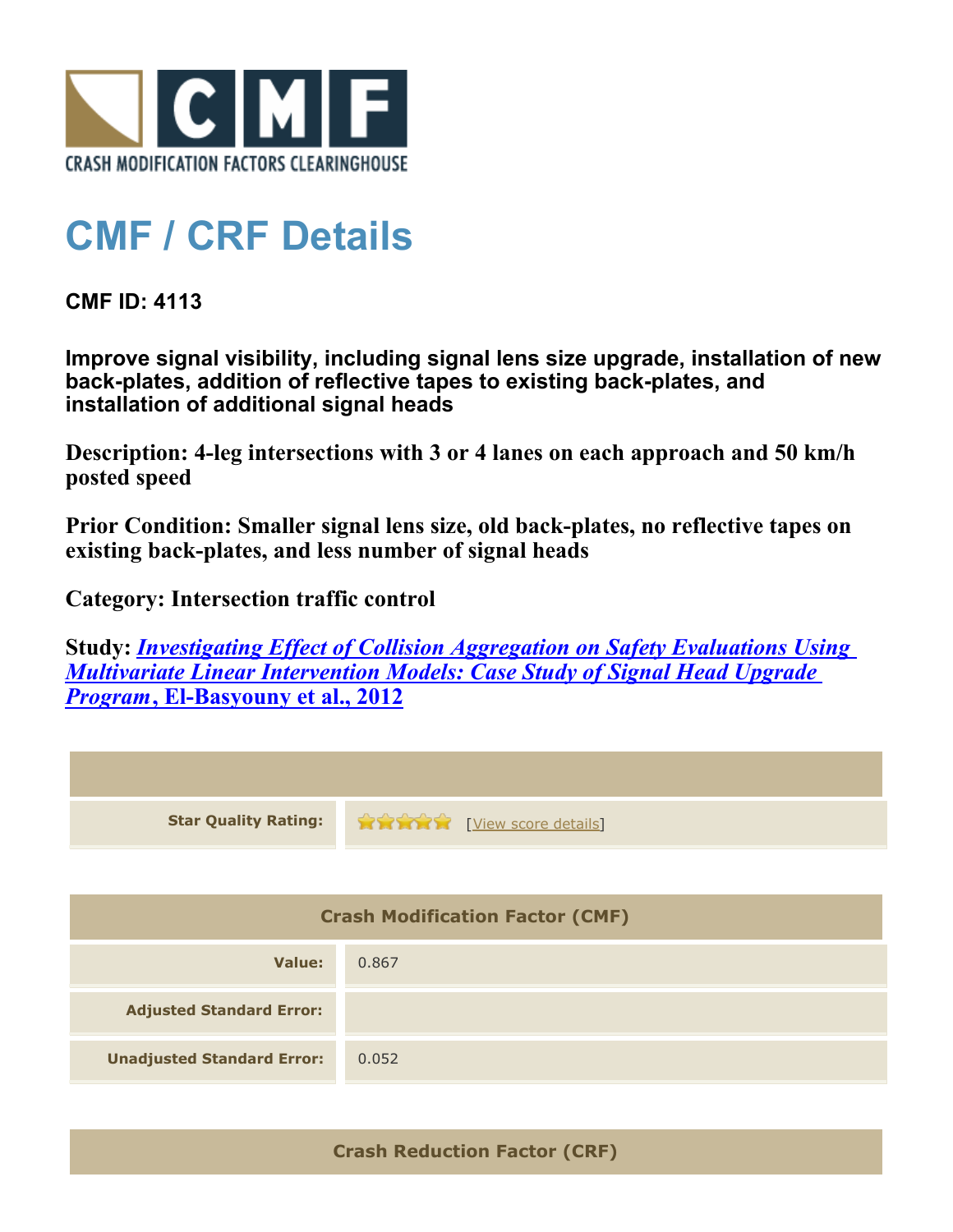

## **CMF / CRF Details**

**CMF ID: 4113**

**Improve signal visibility, including signal lens size upgrade, installation of new back-plates, addition of reflective tapes to existing back-plates, and installation of additional signal heads**

**Description: 4-leg intersections with 3 or 4 lanes on each approach and 50 km/h posted speed**

**Prior Condition: Smaller signal lens size, old back-plates, no reflective tapes on existing back-plates, and less number of signal heads**

**Category: Intersection traffic control**

**Study:** *[Investigating Effect of Collision Aggregation on Safety Evaluations Using](http://www.cmfclearinghouse.org/study_detail.cfm?stid=277) [Multivariate Linear Intervention Models: Case Study of Signal Head Upgrade](http://www.cmfclearinghouse.org/study_detail.cfm?stid=277) [Program](http://www.cmfclearinghouse.org/study_detail.cfm?stid=277)***[, El-Basyouny et al., 2012](http://www.cmfclearinghouse.org/study_detail.cfm?stid=277)**

| <b>Star Quality Rating:</b>            | <b>THE EXPLORE EXPLORE CONTROLLER</b> |  |
|----------------------------------------|---------------------------------------|--|
|                                        |                                       |  |
| <b>Crash Modification Factor (CMF)</b> |                                       |  |
| <b>Value:</b>                          | 0.867                                 |  |
| <b>Adjusted Standard Error:</b>        |                                       |  |
| <b>Unadjusted Standard Error:</b>      | 0.052                                 |  |

**Crash Reduction Factor (CRF)**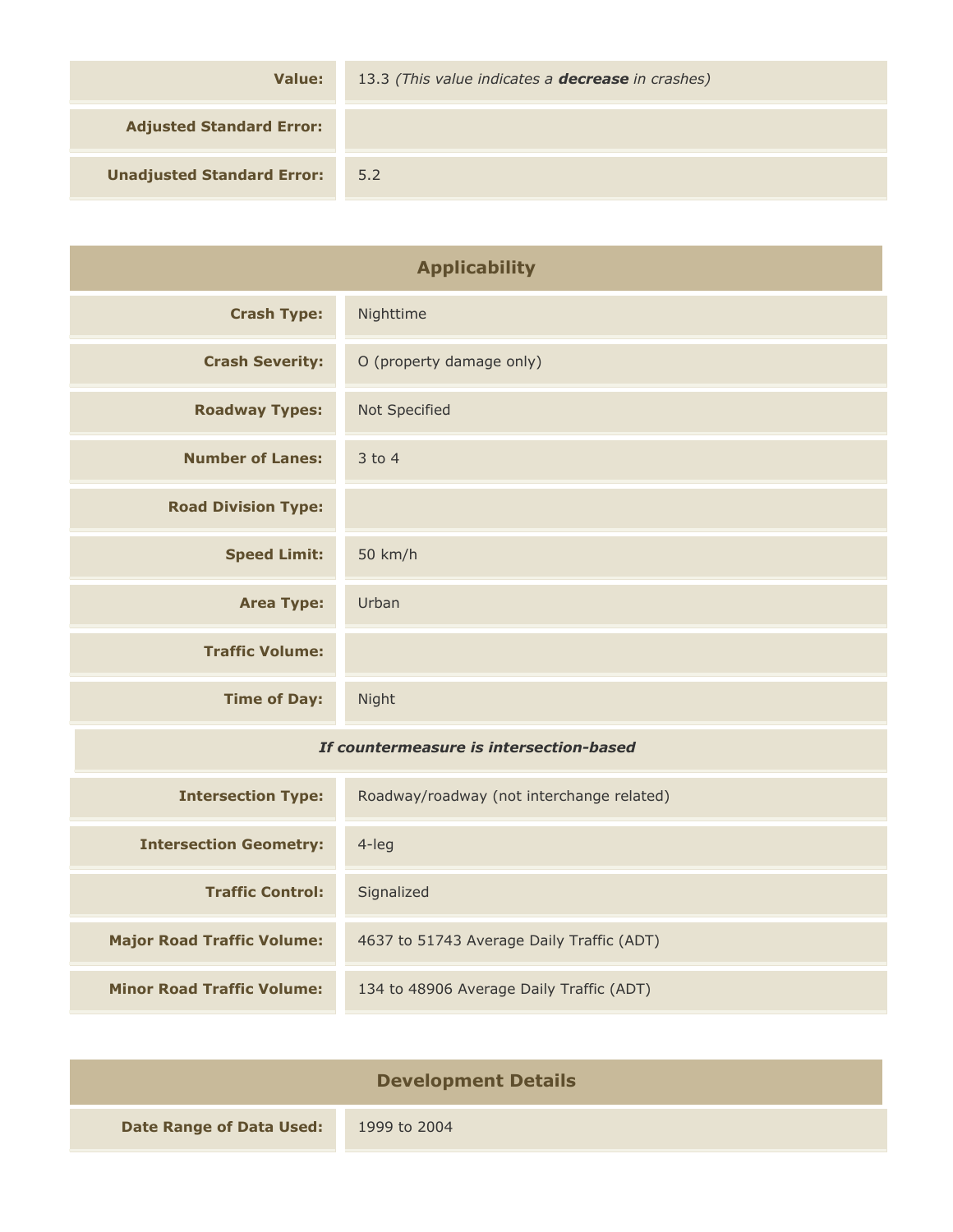| Value:                            | 13.3 (This value indicates a <b>decrease</b> in crashes) |
|-----------------------------------|----------------------------------------------------------|
| <b>Adjusted Standard Error:</b>   |                                                          |
| <b>Unadjusted Standard Error:</b> | 5.2                                                      |

| <b>Applicability</b>                    |                                           |
|-----------------------------------------|-------------------------------------------|
| <b>Crash Type:</b>                      | Nighttime                                 |
| <b>Crash Severity:</b>                  | O (property damage only)                  |
| <b>Roadway Types:</b>                   | Not Specified                             |
| <b>Number of Lanes:</b>                 | $3$ to 4                                  |
| <b>Road Division Type:</b>              |                                           |
| <b>Speed Limit:</b>                     | 50 km/h                                   |
| <b>Area Type:</b>                       | Urban                                     |
| <b>Traffic Volume:</b>                  |                                           |
| <b>Time of Day:</b>                     | Night                                     |
| If countermeasure is intersection-based |                                           |
| <b>Intersection Type:</b>               | Roadway/roadway (not interchange related) |
| <b>Intersection Geometry:</b>           | $4$ -leg                                  |
| <b>Traffic Control:</b>                 | Signalized                                |
| <b>Major Road Traffic Volume:</b>       | 4637 to 51743 Average Daily Traffic (ADT) |
| <b>Minor Road Traffic Volume:</b>       | 134 to 48906 Average Daily Traffic (ADT)  |

| <b>Development Details</b>      |              |
|---------------------------------|--------------|
| <b>Date Range of Data Used:</b> | 1999 to 2004 |